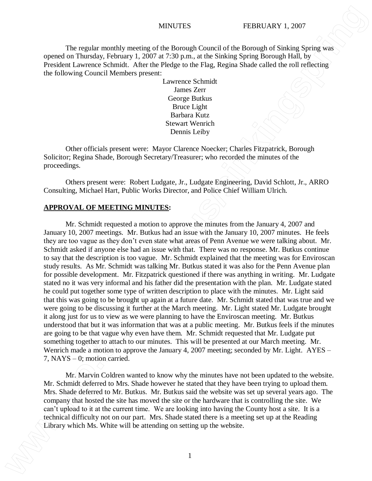The regular monthly meeting of the Borough Council of the Borough of Sinking Spring was opened on Thursday, February 1, 2007 at 7:30 p.m., at the Sinking Spring Borough Hall, by President Lawrence Schmidt. After the Pledge to the Flag, Regina Shade called the roll reflecting the following Council Members present:

> Lawrence Schmidt James Zerr George Butkus Bruce Light Barbara Kutz Stewart Wenrich Dennis Leiby

Other officials present were: Mayor Clarence Noecker; Charles Fitzpatrick, Borough Solicitor; Regina Shade, Borough Secretary/Treasurer; who recorded the minutes of the proceedings.

Others present were: Robert Ludgate, Jr., Ludgate Engineering, David Schlott, Jr., ARRO Consulting, Michael Hart, Public Works Director, and Police Chief William Ulrich.

## **APPROVAL OF MEETING MINUTES:**

Mr. Schmidt requested a motion to approve the minutes from the January 4, 2007 and January 10, 2007 meetings. Mr. Butkus had an issue with the January 10, 2007 minutes. He feels they are too vague as they don't even state what areas of Penn Avenue we were talking about. Mr. Schmidt asked if anyone else had an issue with that. There was no response. Mr. Butkus continue to say that the description is too vague. Mr. Schmidt explained that the meeting was for Enviroscan study results. As Mr. Schmidt was talking Mr. Butkus stated it was also for the Penn Avenue plan for possible development. Mr. Fitzpatrick questioned if there was anything in writing. Mr. Ludgate stated no it was very informal and his father did the presentation with the plan. Mr. Ludgate stated he could put together some type of written description to place with the minutes. Mr. Light said that this was going to be brought up again at a future date. Mr. Schmidt stated that was true and we were going to be discussing it further at the March meeting. Mr. Light stated Mr. Ludgate brought it along just for us to view as we were planning to have the Enviroscan meeting. Mr. Butkus understood that but it was information that was at a public meeting. Mr. Butkus feels if the minutes are going to be that vague why even have them. Mr. Schmidt requested that Mr. Ludgate put something together to attach to our minutes. This will be presented at our March meeting. Mr. Wenrich made a motion to approve the January 4, 2007 meeting; seconded by Mr. Light. AYES – 7, NAYS – 0; motion carried. **Library is the system of the attending on the system of the attending of the system of Proposition Correlation Constrainers (1970) at 200 to 200 to 200 to 200 to 200 to 200 to 200 to 200 to 200 to 200 to 200 to 200 to 20** 

Mr. Marvin Coldren wanted to know why the minutes have not been updated to the website. Mr. Schmidt deferred to Mrs. Shade however he stated that they have been trying to upload them. Mrs. Shade deferred to Mr. Butkus. Mr. Butkus said the website was set up several years ago. The company that hosted the site has moved the site or the hardware that is controlling the site. We can't upload to it at the current time. We are looking into having the County host a site. It is a technical difficulty not on our part. Mrs. Shade stated there is a meeting set up at the Reading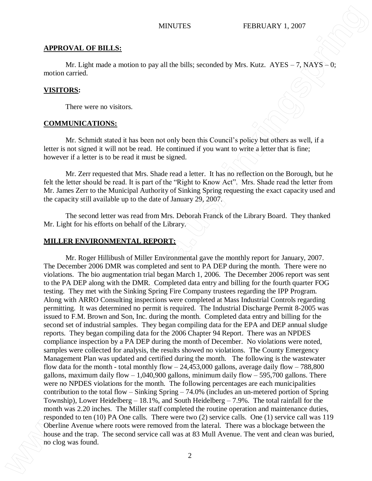### **APPROVAL OF BILLS:**

Mr. Light made a motion to pay all the bills; seconded by Mrs. Kutz.  $AYES - 7$ ,  $NAYS - 0$ ; motion carried.

## **VISITORS:**

There were no visitors.

### **COMMUNICATIONS:**

Mr. Schmidt stated it has been not only been this Council's policy but others as well, if a letter is not signed it will not be read. He continued if you want to write a letter that is fine; however if a letter is to be read it must be signed.

Mr. Zerr requested that Mrs. Shade read a letter. It has no reflection on the Borough, but he felt the letter should be read. It is part of the "Right to Know Act". Mrs. Shade read the letter from Mr. James Zerr to the Municipal Authority of Sinking Spring requesting the exact capacity used and the capacity still available up to the date of January 29, 2007.

The second letter was read from Mrs. Deborah Franck of the Library Board. They thanked Mr. Light for his efforts on behalf of the Library.

### **MILLER ENVIRONMENTAL REPORT:**

Mr. Roger Hillibush of Miller Environmental gave the monthly report for January, 2007. The December 2006 DMR was completed and sent to PA DEP during the month. There were no violations. The bio augmentation trial began March 1, 2006. The December 2006 report was sent to the PA DEP along with the DMR. Completed data entry and billing for the fourth quarter FOG testing. They met with the Sinking Spring Fire Company trustees regarding the IPP Program. Along with ARRO Consulting inspections were completed at Mass Industrial Controls regarding permitting. It was determined no permit is required. The Industrial Discharge Permit 8-2005 was issued to F.M. Brown and Son, Inc. during the month. Completed data entry and billing for the second set of industrial samples. They began compiling data for the EPA and DEP annual sludge reports. They began compiling data for the 2006 Chapter 94 Report. There was an NPDES compliance inspection by a PA DEP during the month of December. No violations were noted, samples were collected for analysis, the results showed no violations. The County Emergency Management Plan was updated and certified during the month. The following is the wastewater flow data for the month - total monthly flow  $-24,453,000$  gallons, average daily flow  $-788,800$ gallons, maximum daily flow  $-1,040,900$  gallons, minimum daily flow  $-595,700$  gallons. There were no NPDES violations for the month. The following percentages are each municipalities contribution to the total flow – Sinking Spring – 74.0% (includes an un-metered portion of Spring Township), Lower Heidelberg – 18.1%, and South Heidelberg – 7.9%. The total rainfall for the month was 2.20 inches. The Miller staff completed the routine operation and maintenance duties, responded to ten (10) PA One calls. There were two (2) service calls. One (1) service call was 119 Oberline Avenue where roots were removed from the lateral. There was a blockage between the house and the trap. The second service call was at 83 Mull Avenue. The vent and clean was buried, **NEW ALTERS EXERCTS CONDUCTLARY LEGACION CONDUCT CONDUCTS**<br> **EXERCTS CONDUCTS CONDUCTS CONDUCTS CONDUCTS CONDUCTS CONDUCTS CONDUCTS CONDUCTS CONDUCTS CONDUCTS CONDUCTS CONDUCTS CONDUCTS CON**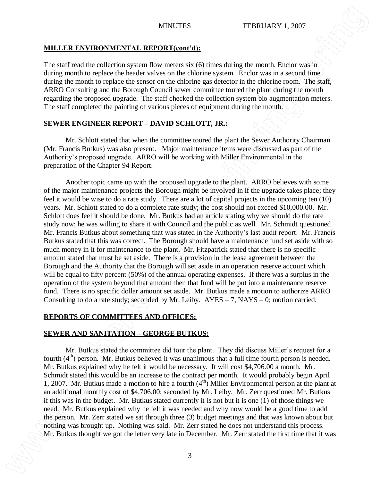## **MILLER ENVIRONMENTAL REPORT(cont'd):**

The staff read the collection system flow meters six (6) times during the month. Enclor was in during month to replace the header valves on the chlorine system. Enclor was in a second time during the month to replace the sensor on the chlorine gas detector in the chlorine room. The staff, ARRO Consulting and the Borough Council sewer committee toured the plant during the month regarding the proposed upgrade. The staff checked the collection system bio augmentation meters. The staff completed the painting of various pieces of equipment during the month.

# **SEWER ENGINEER REPORT – DAVID SCHLOTT, JR.:**

Mr. Schlott stated that when the committee toured the plant the Sewer Authority Chairman (Mr. Francis Butkus) was also present. Major maintenance items were discussed as part of the Authority's proposed upgrade. ARRO will be working with Miller Environmental in the preparation of the Chapter 94 Report.

Another topic came up with the proposed upgrade to the plant. ARRO believes with some of the major maintenance projects the Borough might be involved in if the upgrade takes place; they feel it would be wise to do a rate study. There are a lot of capital projects in the upcoming ten (10) years. Mr. Schlott stated to do a complete rate study; the cost should not exceed \$10,000.00. Mr. Schlott does feel it should be done. Mr. Butkus had an article stating why we should do the rate study now; he was willing to share it with Council and the public as well. Mr. Schmidt questioned Mr. Francis Butkus about something that was stated in the Authority's last audit report. Mr. Francis Butkus stated that this was correct. The Borough should have a maintenance fund set aside with so much money in it for maintenance to the plant. Mr. Fitzpatrick stated that there is no specific amount stated that must be set aside. There is a provision in the lease agreement between the Borough and the Authority that the Borough will set aside in an operation reserve account which will be equal to fifty percent (50%) of the annual operating expenses. If there was a surplus in the operation of the system beyond that amount then that fund will be put into a maintenance reserve fund. There is no specific dollar amount set aside. Mr. Butkus made a motion to authorize ARRO Consulting to do a rate study; seconded by Mr. Leiby.  $AYES - 7$ ,  $NAYS - 0$ ; motion carried. **MH. LER ENVIRONNENTAL ARFOORTIGENTS**<br>
The staff rest time collection system like uncertainty of the state state in the letter very late in December. The collection of the letter very late in the letter very late in the l

# **REPORTS OF COMMITTEES AND OFFICES:**

# **SEWER AND SANITATION – GEORGE BUTKUS:**

Mr. Butkus stated the committee did tour the plant. They did discuss Miller's request for a fourth  $(4<sup>th</sup>)$  person. Mr. Butkus believed it was unanimous that a full time fourth person is needed. Mr. Butkus explained why he felt it would be necessary. It will cost \$4,706.00 a month. Mr. Schmidt stated this would be an increase to the contract per month. It would probably begin April 1, 2007. Mr. Butkus made a motion to hire a fourth  $(4<sup>th</sup>)$  Miller Environmental person at the plant at an additional monthly cost of \$4,706.00; seconded by Mr. Leiby. Mr. Zerr questioned Mr. Butkus if this was in the budget. Mr. Butkus stated currently it is not but it is one (1) of those things we need. Mr. Butkus explained why he felt it was needed and why now would be a good time to add the person. Mr. Zerr stated we sat through three (3) budget meetings and that was known about but nothing was brought up. Nothing was said. Mr. Zerr stated he does not understand this process.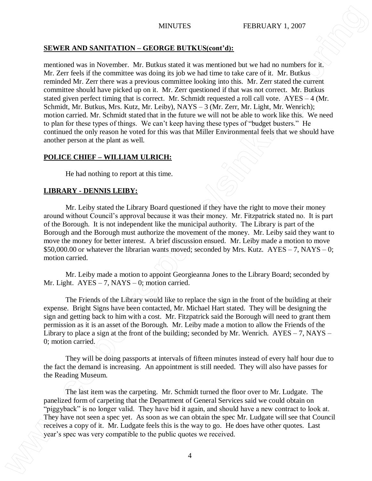# **SEWER AND SANITATION – GEORGE BUTKUS(cont'd):**

mentioned was in November. Mr. Butkus stated it was mentioned but we had no numbers for it. Mr. Zerr feels if the committee was doing its job we had time to take care of it. Mr. Butkus reminded Mr. Zerr there was a previous committee looking into this. Mr. Zerr stated the current committee should have picked up on it. Mr. Zerr questioned if that was not correct. Mr. Butkus stated given perfect timing that is correct. Mr. Schmidt requested a roll call vote. AYES – 4 (Mr. Schmidt, Mr. Butkus, Mrs. Kutz, Mr. Leiby), NAYS – 3 (Mr. Zerr, Mr. Light, Mr. Wenrich); motion carried. Mr. Schmidt stated that in the future we will not be able to work like this. We need to plan for these types of things. We can't keep having these types of "budget busters." He continued the only reason he voted for this was that Miller Environmental feels that we should have another person at the plant as well. **NEWER AND SANITATION CENDECE RUTKI SCOREC INTERFECT (FORMATION 1997)**<br> **EXERCISE CONSULTS AND CENTERFECT INTERFECT (FORMATION 1997)**<br> **EXERCISE CONSULTS AND CENTERFECT INTERFECT (FORMATION 2001)**<br> **EXERCISE CONSULTS AND** 

# **POLICE CHIEF – WILLIAM ULRICH:**

He had nothing to report at this time.

# **LIBRARY - DENNIS LEIBY:**

Mr. Leiby stated the Library Board questioned if they have the right to move their money around without Council's approval because it was their money. Mr. Fitzpatrick stated no. It is part of the Borough. It is not independent like the municipal authority. The Library is part of the Borough and the Borough must authorize the movement of the money. Mr. Leiby said they want to move the money for better interest. A brief discussion ensued. Mr. Leiby made a motion to move \$50,000.00 or whatever the librarian wants moved; seconded by Mrs. Kutz. AYES – 7, NAYS – 0; motion carried.

Mr. Leiby made a motion to appoint Georgieanna Jones to the Library Board; seconded by Mr. Light.  $AYES - 7$ ,  $NAYS - 0$ ; motion carried.

The Friends of the Library would like to replace the sign in the front of the building at their expense. Bright Signs have been contacted, Mr. Michael Hart stated. They will be designing the sign and getting back to him with a cost. Mr. Fitzpatrick said the Borough will need to grant them permission as it is an asset of the Borough. Mr. Leiby made a motion to allow the Friends of the Library to place a sign at the front of the building; seconded by Mr. Wenrich.  $AYES - 7$ , NAYS – 0; motion carried.

They will be doing passports at intervals of fifteen minutes instead of every half hour due to the fact the demand is increasing. An appointment is still needed. They will also have passes for the Reading Museum.

The last item was the carpeting. Mr. Schmidt turned the floor over to Mr. Ludgate. The panelized form of carpeting that the Department of General Services said we could obtain on "piggyback" is no longer valid. They have bid it again, and should have a new contract to look at. They have not seen a spec yet. As soon as we can obtain the spec Mr. Ludgate will see that Council receives a copy of it. Mr. Ludgate feels this is the way to go. He does have other quotes. Last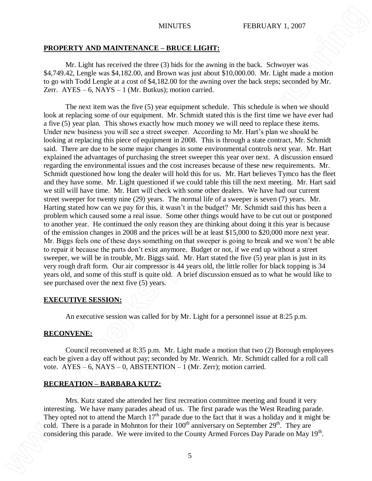### **PROPERTY AND MAINTENANCE – BRUCE LIGHT:**

Mr. Light has received the three (3) bids for the awning in the back. Schwoyer was \$4,749.42, Lengle was \$4,182.00, and Brown was just about \$10,000.00. Mr. Light made a motion to go with Todd Lengle at a cost of \$4,182.00 for the awning over the back steps; seconded by Mr. Zerr.  $AYES - 6$ ,  $NAYS - 1$  (Mr. Butkus); motion carried.

The next item was the five (5) year equipment schedule. This schedule is when we should look at replacing some of our equipment. Mr. Schmidt stated this is the first time we have ever had a five (5) year plan. This shows exactly how much money we will need to replace these items. Under new business you will see a street sweeper. According to Mr. Hart's plan we should be looking at replacing this piece of equipment in 2008. This is through a state contract, Mr. Schmidt said. There are due to be some major changes in some environmental controls next year. Mr. Hart explained the advantages of purchasing the street sweeper this year over next. A discussion ensued regarding the environmental issues and the cost increases because of these new requirements. Mr. Schmidt questioned how long the dealer will hold this for us. Mr. Hart believes Tymco has the fleet and they have some. Mr. Light questioned if we could table this till the next meeting. Mr. Hart said we still will have time. Mr. Hart will check with some other dealers. We have had our current street sweeper for twenty nine (29) years. The normal life of a sweeper is seven (7) years. Mr. Harting stated how can we pay for this, it wasn't in the budget? Mr. Schmidt said this has been a problem which caused some a real issue. Some other things would have to be cut out or postponed to another year. He continued the only reason they are thinking about doing it this year is because of the emission changes in 2008 and the prices will be at least \$15,000 to \$20,000 more next year. Mr. Biggs feels one of these days something on that sweeper is going to break and we won't be able to repair it because the parts don't exist anymore. Budget or not, if we end up without a street sweeper, we will be in trouble, Mr. Biggs said. Mr. Hart stated the five (5) year plan is just in its very rough draft form. Our air compressor is 44 years old, the little roller for black topping is 34 years old, and some of this stuff is quite old. A brief discussion ensued as to what he would like to see purchased over the next five (5) years. **EXAMPERTY AND MAINTEX:** FIRENCT. INTERTY (FIRENCT). THEREFORE A SURVEY IS A subsequent of the system of the system of the system of the system of the system of the system of the system of the system of the system of the

### **EXECUTIVE SESSION:**

An executive session was called for by Mr. Light for a personnel issue at 8:25 p.m.

## **RECONVENE:**

Council reconvened at 8:35 p.m. Mr. Light made a motion that two (2) Borough employees each be given a day off without pay; seconded by Mr. Wenrich. Mr. Schmidt called for a roll call vote.  $AYES = 6$ ,  $NAYS - 0$ ,  $ABSTENTION - 1$  (Mr. Zerr); motion carried.

## **RECREATION – BARBARA KUTZ:**

Mrs. Kutz stated she attended her first recreation committee meeting and found it very interesting. We have many parades ahead of us. The first parade was the West Reading parade. They opted not to attend the March  $17<sup>th</sup>$  parade due to the fact that it was a holiday and it might be cold. There is a parade in Mohnton for their  $100<sup>th</sup>$  anniversary on September 29<sup>th</sup>. They are considering this parade. We were invited to the County Armed Forces Day Parade on May 19<sup>th</sup>.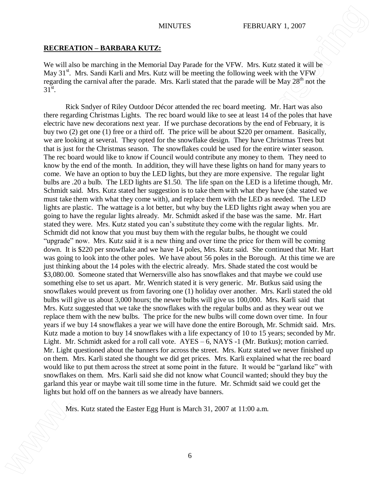## **RECREATION – BARBARA KUTZ:**

We will also be marching in the Memorial Day Parade for the VFW. Mrs. Kutz stated it will be May  $31<sup>st</sup>$ . Mrs. Sandi Karli and Mrs. Kutz will be meeting the following week with the VFW regarding the carnival after the parade. Mrs. Karli stated that the parade will be May  $28<sup>th</sup>$  not the  $31^{\text{st}}$ .

Rick Sndyer of Riley Outdoor Décor attended the rec board meeting. Mr. Hart was also there regarding Christmas Lights. The rec board would like to see at least 14 of the poles that have electric have new decorations next year. If we purchase decorations by the end of February, it is buy two (2) get one (1) free or a third off. The price will be about \$220 per ornament. Basically, we are looking at several. They opted for the snowflake design. They have Christmas Trees but that is just for the Christmas season. The snowflakes could be used for the entire winter season. The rec board would like to know if Council would contribute any money to them. They need to know by the end of the month. In addition, they will have these lights on hand for many years to come. We have an option to buy the LED lights, but they are more expensive. The regular light bulbs are .20 a bulb. The LED lights are \$1.50. The life span on the LED is a lifetime though, Mr. Schmidt said. Mrs. Kutz stated her suggestion is to take them with what they have (she stated we must take them with what they come with), and replace them with the LED as needed. The LED lights are plastic. The wattage is a lot better, but why buy the LED lights right away when you are going to have the regular lights already. Mr. Schmidt asked if the base was the same. Mr. Hart stated they were. Mrs. Kutz stated you can's substitute they come with the regular lights. Mr. Schmidt did not know that you must buy them with the regular bulbs, he thought we could "upgrade" now. Mrs. Kutz said it is a new thing and over time the price for them will be coming down. It is \$220 per snowflake and we have 14 poles, Mrs. Kutz said. She continued that Mr. Hart was going to look into the other poles. We have about 56 poles in the Borough. At this time we are just thinking about the 14 poles with the electric already. Mrs. Shade stated the cost would be \$3,080.00. Someone stated that Wernersville also has snowflakes and that maybe we could use something else to set us apart. Mr. Wenrich stated it is very generic. Mr. Butkus said using the snowflakes would prevent us from favoring one (1) holiday over another. Mrs. Karli stated the old bulbs will give us about 3,000 hours; the newer bulbs will give us 100,000. Mrs. Karli said that Mrs. Kutz suggested that we take the snowflakes with the regular bulbs and as they wear out we replace them with the new bulbs. The price for the new bulbs will come down over time. In four years if we buy 14 snowflakes a year we will have done the entire Borough, Mr. Schmidt said. Mrs. Kutz made a motion to buy 14 snowflakes with a life expectancy of 10 to 15 years; seconded by Mr. Light. Mr. Schmidt asked for a roll call vote. AYES – 6, NAYS -1 (Mr. Butkus); motion carried. Mr. Light questioned about the banners for across the street. Mrs. Kutz stated we never finished up on them. Mrs. Karli stated she thought we did get prices. Mrs. Karli explained what the rec board would like to put them across the street at some point in the future. It would be "garland like" with snowflakes on them. Mrs. Karli said she did not know what Council wanted; should they buy the garland this year or maybe wait till some time in the future. Mr. Schmidt said we could get the lights but hold off on the banners as we already have banners. **MRITELES EXAMPLERS EXAMPLERS EXAMPLERS EXAMPLE INTERFECT CONTROVERS EXAMPLE IN A Solution of the EAST CONTROVERS EXAMPLE IN A Solution of the EAST CONTROVERS EXAMPLE IN A Solution of the EAST CONTROVERS C**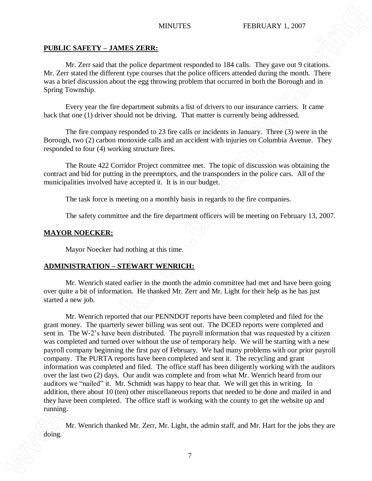# **PUBLIC SAFETY – JAMES ZERR:**

Mr. Zerr said that the police department responded to 184 calls. They gave out 9 citations. Mr. Zerr stated the different type courses that the police officers attended during the month. There was a brief discussion about the egg throwing problem that occurred in both the Borough and in Spring Township.

Every year the fire department submits a list of drivers to our insurance carriers. It came back that one (1) driver should not be driving. That matter is currently being addressed.

The fire company responded to 23 fire calls or incidents in January. Three (3) were in the Borough, two (2) carbon monoxide calls and an accident with injuries on Columbia Avenue. They responded to four (4) working structure fires.

The Route 422 Corridor Project committee met. The topic of discussion was obtaining the contract and bid for putting in the preemptors, and the transponders in the police cars. All of the municipalities involved have accepted it. It is in our budget.

The task force is meeting on a monthly basis in regards to the fire companies.

The safety committee and the fire department officers will be meeting on February 13, 2007.

# **MAYOR NOECKER:**

Mayor Noecker had nothing at this time.

# **ADMINISTRATION – STEWART WENRICH:**

Mr. Wenrich stated earlier in the month the admin committee had met and have been going over quite a bit of information. He thanked Mr. Zerr and Mr. Light for their help as he has just started a new job.

Mr. Wenrich reported that our PENNDOT reports have been completed and filed for the grant money. The quarterly sewer billing was sent out. The DCED reports were completed and sent in. The W-2's have been distributed. The payroll information that was requested by a citizen was completed and turned over without the use of temporary help. We will be starting with a new payroll company beginning the first pay of February. We had many problems with our prior payroll company. The PURTA reports have been completed and sent it. The recycling and grant information was completed and filed. The office staff has been diligently working with the auditors over the last two (2) days. Our audit was complete and from what Mr. Wenrich heard from our auditors we "nailed" it. Mr. Schmidt was happy to hear that. We will get this in writing. In addition, there about 10 (ten) other miscellaneous reports that needed to be done and mailed in and they have been completed. The office staff is working with the county to get the website up and running. **MINITES EXAMPLE AND INTERVALUATES EXAMPLE AND CONTRACTS CONSULTS We can consider the system of the system of the system of the system of the system of the system of the system of the system of the system of the s** 

Mr. Wenrich thanked Mr. Zerr, Mr. Light, the admin staff, and Mr. Hart for the jobs they are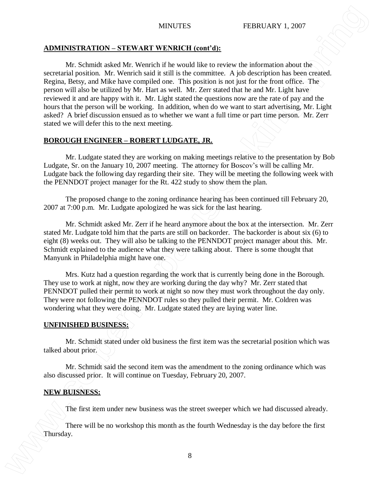### **ADMINISTRATION – STEWART WENRICH (cont'd):**

Mr. Schmidt asked Mr. Wenrich if he would like to review the information about the secretarial position. Mr. Wenrich said it still is the committee. A job description has been created. Regina, Betsy, and Mike have compiled one. This position is not just for the front office. The person will also be utilized by Mr. Hart as well. Mr. Zerr stated that he and Mr. Light have reviewed it and are happy with it. Mr. Light stated the questions now are the rate of pay and the hours that the person will be working. In addition, when do we want to start advertising, Mr. Light asked? A brief discussion ensued as to whether we want a full time or part time person. Mr. Zerr stated we will defer this to the next meeting. MINITES **INTERVIEW INTERVIEW INTERVIEW (VALUAT**<br>
MINITEST AT A SCHIMAT STATISTIC CONTROLL TO THE CONTROLL TO THE SECTION OF THE SECTION OF THE SECTION OF THE SECTION OF THE SECTION OF THE SECTION OF THE SECTION OF THE SECT

## **BOROUGH ENGINEER – ROBERT LUDGATE, JR.**

Mr. Ludgate stated they are working on making meetings relative to the presentation by Bob Ludgate, Sr. on the January 10, 2007 meeting. The attorney for Boscov's will be calling Mr. Ludgate back the following day regarding their site. They will be meeting the following week with the PENNDOT project manager for the Rt. 422 study to show them the plan.

The proposed change to the zoning ordinance hearing has been continued till February 20, 2007 at 7:00 p.m. Mr. Ludgate apologized he was sick for the last hearing.

Mr. Schmidt asked Mr. Zerr if he heard anymore about the box at the intersection. Mr. Zerr stated Mr. Ludgate told him that the parts are still on backorder. The backorder is about six (6) to eight (8) weeks out. They will also be talking to the PENNDOT project manager about this. Mr. Schmidt explained to the audience what they were talking about. There is some thought that Manyunk in Philadelphia might have one.

Mrs. Kutz had a question regarding the work that is currently being done in the Borough. They use to work at night, now they are working during the day why? Mr. Zerr stated that PENNDOT pulled their permit to work at night so now they must work throughout the day only. They were not following the PENNDOT rules so they pulled their permit. Mr. Coldren was wondering what they were doing. Mr. Ludgate stated they are laying water line.

### **UNFINISHED BUSINESS:**

Mr. Schmidt stated under old business the first item was the secretarial position which was talked about prior.

Mr. Schmidt said the second item was the amendment to the zoning ordinance which was also discussed prior. It will continue on Tuesday, February 20, 2007.

### **NEW BUISNESS:**

The first item under new business was the street sweeper which we had discussed already.

There will be no workshop this month as the fourth Wednesday is the day before the first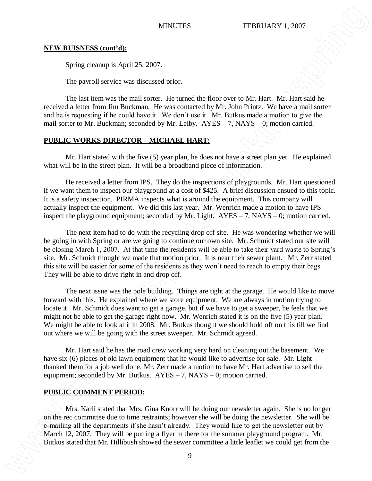## **NEW BUISNESS (cont'd):**

Spring cleanup is April 25, 2007.

The payroll service was discussed prior.

The last item was the mail sorter. He turned the floor over to Mr. Hart. Mr. Hart said he received a letter from Jim Buckman. He was contacted by Mr. John Printz. We have a mail sorter and he is requesting if he could have it. We don't use it. Mr. Butkus made a motion to give the mail sorter to Mr. Buckman; seconded by Mr. Leiby.  $AYES - 7$ ,  $NAYS - 0$ ; motion carried.

# **PUBLIC WORKS DIRECTOR – MICHAEL HART:**

Mr. Hart stated with the five (5) year plan, he does not have a street plan yet. He explained what will be in the street plan. It will be a broadband piece of information.

He received a letter from IPS. They do the inspections of playgrounds. Mr. Hart questioned if we want them to inspect our playground at a cost of \$425. A brief discussion ensued to this topic. It is a safety inspection. PIRMA inspects what is around the equipment. This company will actually inspect the equipment. We did this last year. Mr. Wenrich made a motion to have IPS inspect the playground equipment; seconded by Mr. Light.  $AYES - 7$ , NAYS – 0; motion carried.

The next item had to do with the recycling drop off site. He was wondering whether we will be going in with Spring or are we going to continue our own site. Mr. Schmidt stated our site will be closing March 1, 2007. At that time the residents will be able to take their yard waste to Spring's site. Mr. Schmidt thought we made that motion prior. It is near their sewer plant. Mr. Zerr stated this site will be easier for some of the residents as they won't need to reach to empty their bags. They will be able to drive right in and drop off.

The next issue was the pole building. Things are tight at the garage. He would like to move forward with this. He explained where we store equipment. We are always in motion trying to locate it. Mr. Schmidt does want to get a garage, but if we have to get a sweeper, he feels that we might not be able to get the garage right now. Mr. Wenrich stated it is on the five (5) year plan. We might be able to look at it in 2008. Mr. Butkus thought we should hold off on this till we find out where we will be going with the street sweeper. Mr. Schmidt agreed. **EXERCTIVE STATES (FIRENT ARY 1.2007**<br>
State details and the search showed that is the search of the search of the search of the search showed the serence and the search of the search showed that the search of the search

Mr. Hart said he has the road crew working very hard on cleaning out the basement. We have six (6) pieces of old lawn equipment that he would like to advertise for sale. Mr. Light thanked them for a job well done. Mr. Zerr made a motion to have Mr. Hart advertise to sell the equipment; seconded by Mr. Butkus.  $AYES - 7$ ,  $NAYS - 0$ ; motion carried.

# **PUBLIC COMMENT PERIOD:**

Mrs. Karli stated that Mrs. Gina Knorr will be doing our newsletter again. She is no longer on the rec committee due to time restraints; however she will be doing the newsletter. She will be e-mailing all the departments if she hasn't already. They would like to get the newsletter out by March 12, 2007. They will be putting a flyer in there for the summer playground program. Mr.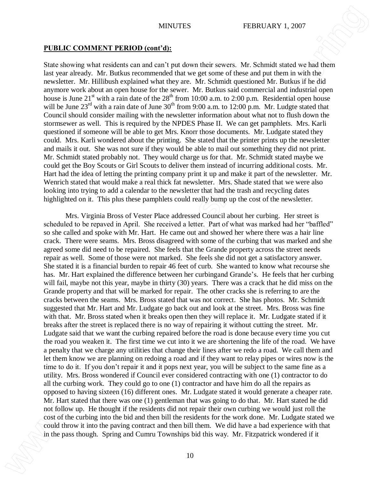## **PUBLIC COMMENT PERIOD (cont'd):**

State showing what residents can and can't put down their sewers. Mr. Schmidt stated we had them last year already. Mr. Butkus recommended that we get some of these and put them in with the newsletter. Mr. Hillibush explained what they are. Mr. Schmidt questioned Mr. Butkus if he did anymore work about an open house for the sewer. Mr. Butkus said commercial and industrial open house is June  $21^{st}$  with a rain date of the  $28^{th}$  from 10:00 a.m. to 2:00 p.m. Residential open house will be June  $23<sup>rd</sup>$  with a rain date of June  $30<sup>th</sup>$  from 9:00 a.m. to 12:00 p.m. Mr. Ludgte stated that Council should consider mailing with the newsletter information about what not to flush down the stormsewer as well. This is required by the NPDES Phase II. We can get pamphlets. Mrs. Karli questioned if someone will be able to get Mrs. Knorr those documents. Mr. Ludgate stated they could. Mrs. Karli wondered about the printing. She stated that the printer prints up the newsletter and mails it out. She was not sure if they would be able to mail out something they did not print. Mr. Schmidt stated probably not. They would charge us for that. Mr. Schmidt stated maybe we could get the Boy Scouts or Girl Scouts to deliver them instead of incurring additional costs. Mr. Hart had the idea of letting the printing company print it up and make it part of the newsletter. Mr. Wenrich stated that would make a real thick fat newsletter. Mrs. Shade stated that we were also looking into trying to add a calendar to the newsletter that had the trash and recycling dates highlighted on it. This plus these pamphlets could really bump up the cost of the newsletter.

Mrs. Virginia Bross of Vester Place addressed Council about her curbing. Her street is scheduled to be repaved in April. She received a letter. Part of what was marked had her "baffled" so she called and spoke with Mr. Hart. He came out and showed her where there was a hair line crack. There were seams. Mrs. Bross disagreed with some of the curbing that was marked and she agreed some did need to be repaired. She feels that the Grande property across the street needs repair as well. Some of those were not marked. She feels she did not get a satisfactory answer. She stated it is a financial burden to repair 46 feet of curb. She wanted to know what recourse she has. Mr. Hart explained the difference between her curbingand Grande's. He feels that her curbing will fail, maybe not this year, maybe in thirty (30) years. There was a crack that he did miss on the Grande property and that will be marked for repair. The other cracks she is referring to are the cracks between the seams. Mrs. Bross stated that was not correct. She has photos. Mr. Schmidt suggested that Mr. Hart and Mr. Ludgate go back out and look at the street. Mrs. Bross was fine with that. Mr. Bross stated when it breaks open then they will replace it. Mr. Ludgate stated if it breaks after the street is replaced there is no way of repairing it without cutting the street. Mr. Ludgate said that we want the curbing repaired before the road is done because every time you cut the road you weaken it. The first time we cut into it we are shortening the life of the road. We have a penalty that we charge any utilities that change their lines after we redo a road. We call them and let them know we are planning on redoing a road and if they want to relay pipes or wires now is the time to do it. If you don't repair it and it pops next year, you will be subject to the same fine as a utility. Mrs. Bross wondered if Council ever considered contracting with one (1) contractor to do all the curbing work. They could go to one (1) contractor and have him do all the repairs as opposed to having sixteen (16) different ones. Mr. Ludgate stated it would generate a cheaper rate. Mr. Hart stated that there was one (1) gentleman that was going to do that. Mr. Hart stated he did not follow up. He thought if the residents did not repair their own curbing we would just roll the cost of the curbing into the bid and then bill the residents for the work done. Mr. Ludgate stated we could throw it into the paving contract and then bill them. We did have a bad experience with that **INTERTS:** FIRENCO COMMEXT PERSION formula that we have been set of the pass that is a set of the pass the space of the pass the space of the pass the space of the space of the space of the space of the space of the space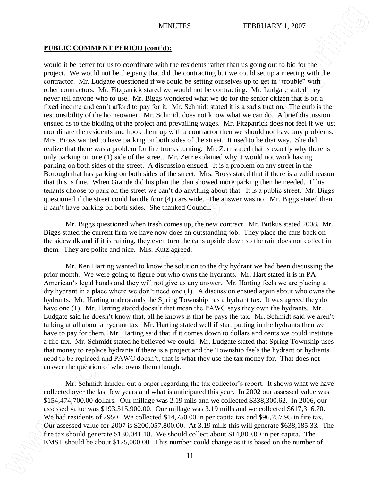## **PUBLIC COMMENT PERIOD (cont'd):**

would it be better for us to coordinate with the residents rather than us going out to bid for the project. We would not be the party that did the contracting but we could set up a meeting with the contractor. Mr. Ludgate questioned if we could be setting ourselves up to get in "trouble" with other contractors. Mr. Fitzpatrick stated we would not be contracting. Mr. Ludgate stated they never tell anyone who to use. Mr. Biggs wondered what we do for the senior citizen that is on a fixed income and can't afford to pay for it. Mr. Schmidt stated it is a sad situation. The curb is the responsibility of the homeowner. Mr. Schmidt does not know what we can do. A brief discussion ensued as to the bidding of the project and prevailing wages. Mr. Fitzpatrick does not feel if we just coordinate the residents and hook them up with a contractor then we should not have any problems. Mrs. Bross wanted to have parking on both sides of the street. It used to be that way. She did realize that there was a problem for fire trucks turning. Mr. Zerr stated that is exactly why there is only parking on one (1) side of the street. Mr. Zerr explained why it would not work having parking on both sides of the street. A discussion ensued. It is a problem on any street in the Borough that has parking on both sides of the street. Mrs. Bross stated that if there is a valid reason that this is fine. When Grande did his plan the plan showed more parking then he needed. If his tenants choose to park on the street we can't do anything about that. It is a public street. Mr. Biggs questioned if the street could handle four (4) cars wide. The answer was no. Mr. Biggs stated then it can't have parking on both sides. She thanked Council. **EMELIC COMMENT PERSION CONTRIGENTS:**<br> **EMELIC COMMENT PERSION CONTOINT**<br> **EVALUATE AS A CONTRIGENTS INTO A CONTRIGENTS INTO A CONTRIGENTS INTO A CONTRIGENTS IN A CONTRIGENT CONTRIGENTS IN A CONTRIGENT CONTRIGENTS INTO A** 

Mr. Biggs questioned when trash comes up, the new contract. Mr. Butkus stated 2008. Mr. Biggs stated the current firm we have now does an outstanding job. They place the cans back on the sidewalk and if it is raining, they even turn the cans upside down so the rain does not collect in them. They are polite and nice. Mrs. Kutz agreed.

Mr. Ken Harting wanted to know the solution to the dry hydrant we had been discussing the prior month. We were going to figure out who owns the hydrants. Mr. Hart stated it is in PA American's legal hands and they will not give us any answer. Mr. Harting feels we are placing a dry hydrant in a place where we don't need one (1). A discussion ensued again about who owns the hydrants. Mr. Harting understands the Spring Township has a hydrant tax. It was agreed they do have one (1). Mr. Harting stated doesn't that mean the PAWC says they own the hydrants. Mr. Ludgate said he doesn't know that, all he knows is that he pays the tax. Mr. Schmidt said we aren't talking at all about a hydrant tax. Mr. Harting stated well if start putting in the hydrants then we have to pay for them. Mr. Harting said that if it comes down to dollars and cents we could institute a fire tax. Mr. Schmidt stated he believed we could. Mr. Ludgate stated that Spring Township uses that money to replace hydrants if there is a project and the Township feels the hydrant or hydrants need to be replaced and PAWC doesn't, that is what they use the tax money for. That does not answer the question of who owns them though.

Mr. Schmidt handed out a paper regarding the tax collector's report. It shows what we have collected over the last few years and what is anticipated this year. In 2002 our assessed value was \$154,474,700.00 dollars. Our millage was 2.19 mils and we collected \$338,300.62. In 2006, our assessed value was \$193,515,900.00. Our millage was 3.19 mills and we collected \$617,316.70. We had residents of 2950. We collected \$14,750.00 in per capita tax and \$96,757.95 in fire tax. Our assessed value for 2007 is \$200,057,800.00. At 3.19 mills this will generate \$638,185.33. The fire tax should generate \$130,041.18. We should collect about \$14,800.00 in per capita. The